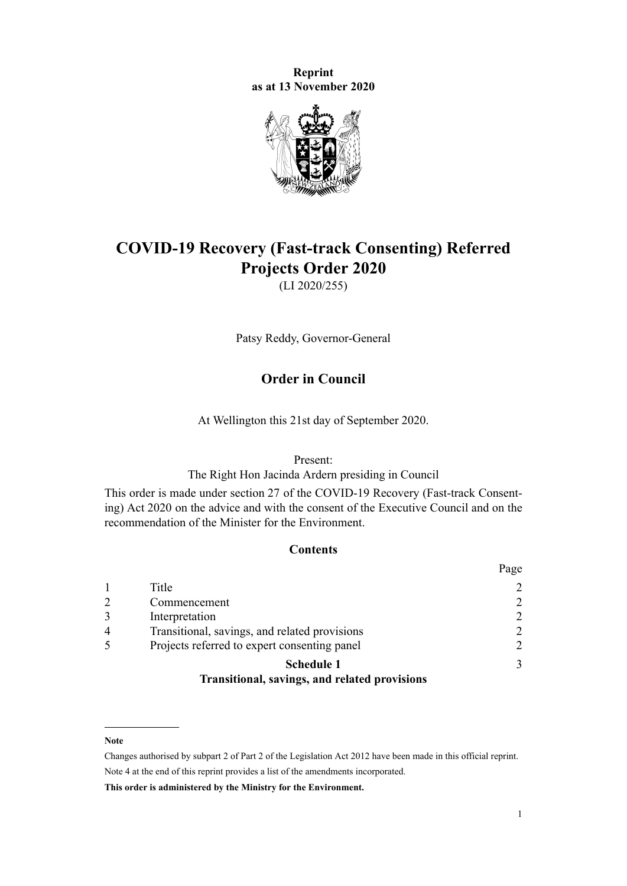**Reprint as at 13 November 2020**



# **COVID-19 Recovery (Fast-track Consenting) Referred Projects Order 2020**

(LI 2020/255)

Patsy Reddy, Governor-General

## **Order in Council**

At Wellington this 21st day of September 2020.

#### Present:

The Right Hon Jacinda Ardern presiding in Council

This order is made under [section 27](http://legislation.govt.nz/pdflink.aspx?id=LMS345610) of the [COVID-19 Recovery \(Fast-track Consent](http://legislation.govt.nz/pdflink.aspx?id=LMS345537)[ing\) Act 2020](http://legislation.govt.nz/pdflink.aspx?id=LMS345537) on the advice and with the consent of the Executive Council and on the recommendation of the Minister for the Environment.

## **Contents**

|                |                                               | Page         |
|----------------|-----------------------------------------------|--------------|
|                | Title                                         | 2            |
| 2              | Commencement                                  | 2            |
| 3              | Interpretation                                | 2            |
| $\overline{4}$ | Transitional, savings, and related provisions | 2            |
|                | Projects referred to expert consenting panel  | 2            |
|                | <b>Schedule 1</b>                             | $\mathbf{3}$ |
|                | Transitional, savings, and related provisions |              |

#### **Note**

Changes authorised by [subpart 2](http://legislation.govt.nz/pdflink.aspx?id=DLM2998524) of Part 2 of the Legislation Act 2012 have been made in this official reprint. Note 4 at the end of this reprint provides a list of the amendments incorporated.

**This order is administered by the Ministry for the Environment.**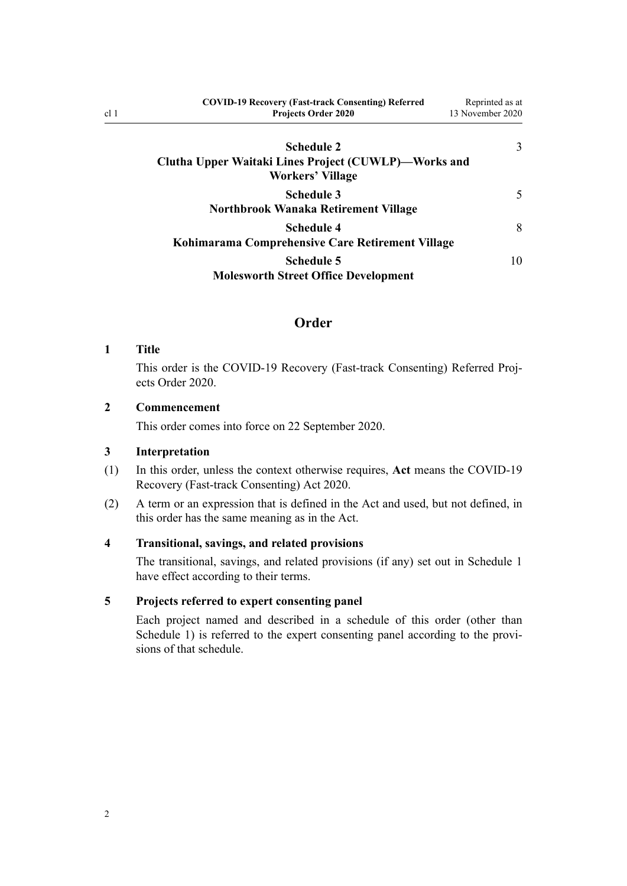| <b>COVID-19 Recovery (Fast-track Consenting) Referred</b>                              | Reprinted as at  |  |
|----------------------------------------------------------------------------------------|------------------|--|
| <b>Projects Order 2020</b>                                                             | 13 November 2020 |  |
| Schedule 2<br>Clutha Upper Waitaki Lines Project (CUWLP)—Works and<br>Workers' Village | 3                |  |
| <b>Schedule 3</b><br>Northbrook Wanaka Retirement Village                              |                  |  |
| <b>Schedule 4</b><br>Kohimarama Comprehensive Care Retirement Village                  | 8                |  |
| <b>Schedule 5</b><br><b>Molesworth Street Office Development</b>                       | 10               |  |

## **Order**

#### **1 Title**

<span id="page-1-0"></span>cl 1

This order is the COVID-19 Recovery (Fast-track Consenting) Referred Projects Order 2020.

#### **2 Commencement**

This order comes into force on 22 September 2020.

## **3 Interpretation**

- (1) In this order, unless the context otherwise requires, **Act** means the [COVID-19](http://legislation.govt.nz/pdflink.aspx?id=LMS345537) [Recovery \(Fast-track Consenting\) Act 2020](http://legislation.govt.nz/pdflink.aspx?id=LMS345537).
- (2) A term or an expression that is defined in the Act and used, but not defined, in this order has the same meaning as in the Act.

## **4 Transitional, savings, and related provisions**

The transitional, savings, and related provisions (if any) set out in [Schedule 1](#page-2-0) have effect according to their terms.

### **5 Projects referred to expert consenting panel**

Each project named and described in a schedule of this order (other than [Schedule 1](#page-2-0)) is referred to the expert consenting panel according to the provisions of that schedule.

2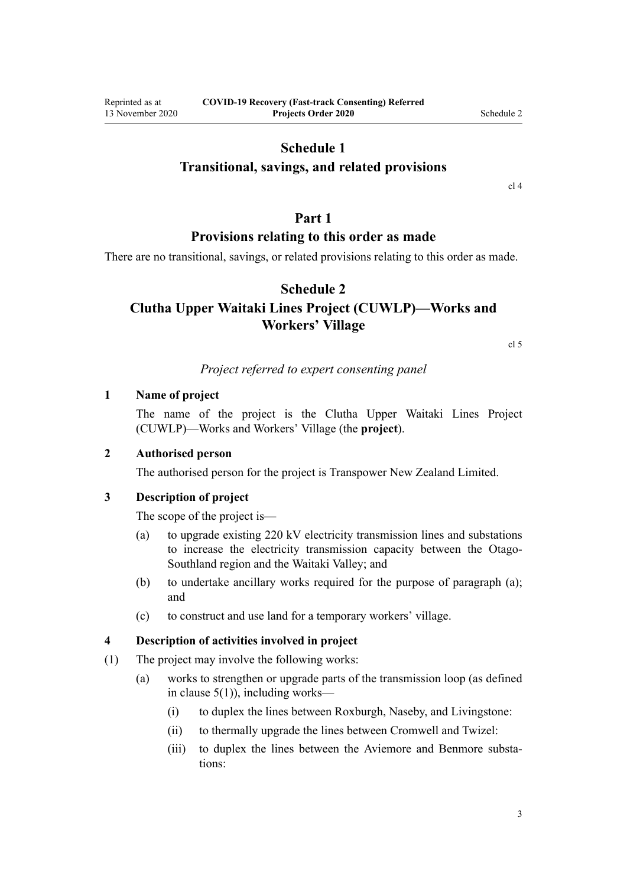## **Schedule 1**

## <span id="page-2-0"></span>**Transitional, savings, and related provisions**

[cl 4](#page-1-0)

## **Part 1**

## **Provisions relating to this order as made**

There are no transitional, savings, or related provisions relating to this order as made.

## **Schedule 2**

## **Clutha Upper Waitaki Lines Project (CUWLP)—Works and Workers' Village**

[cl 5](#page-1-0)

## *Project referred to expert consenting panel*

#### **1 Name of project**

The name of the project is the Clutha Upper Waitaki Lines Project (CUWLP)—Works and Workers' Village (the **project**).

## **2 Authorised person**

The authorised person for the project is Transpower New Zealand Limited.

## **3 Description of project**

The scope of the project is—

- (a) to upgrade existing 220 kV electricity transmission lines and substations to increase the electricity transmission capacity between the Otago-Southland region and the Waitaki Valley; and
- (b) to undertake ancillary works required for the purpose of paragraph (a); and
- (c) to construct and use land for a temporary workers' village.

#### **4 Description of activities involved in project**

- (1) The project may involve the following works:
	- (a) works to strengthen or upgrade parts of the transmission loop (as defined in clause  $5(1)$ ), including works—
		- (i) to duplex the lines between Roxburgh, Naseby, and Livingstone:
		- (ii) to thermally upgrade the lines between Cromwell and Twizel:
		- (iii) to duplex the lines between the Aviemore and Benmore substations: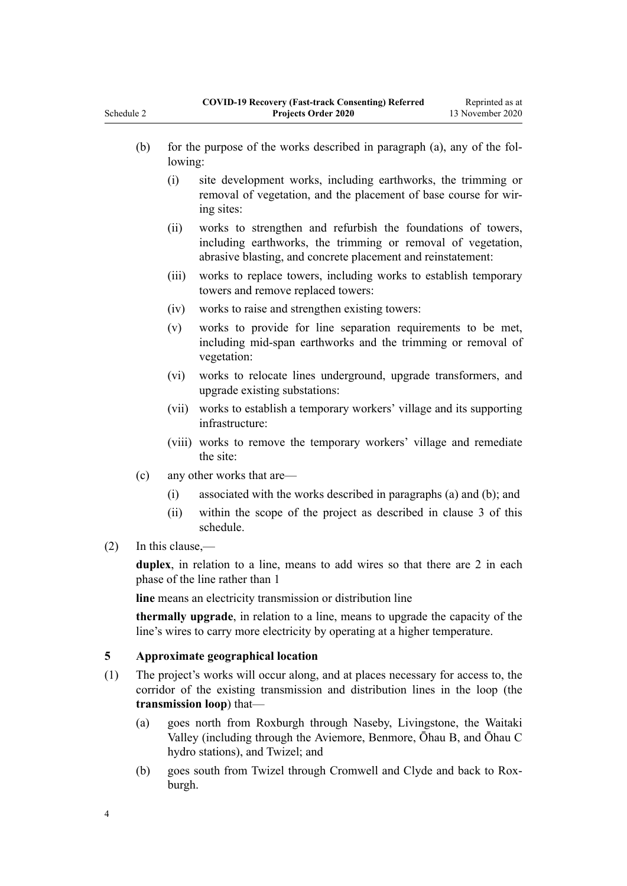- <span id="page-3-0"></span>(b) for the purpose of the works described in paragraph (a), any of the following: (i) site development works, including earthworks, the trimming or removal of vegetation, and the placement of base course for wiring sites: (ii) works to strengthen and refurbish the foundations of towers, including earthworks, the trimming or removal of vegetation, abrasive blasting, and concrete placement and reinstatement: (iii) works to replace towers, including works to establish temporary towers and remove replaced towers: (iv) works to raise and strengthen existing towers:
	- (v) works to provide for line separation requirements to be met, including mid-span earthworks and the trimming or removal of vegetation:
	- (vi) works to relocate lines underground, upgrade transformers, and upgrade existing substations:
	- (vii) works to establish a temporary workers' village and its supporting infrastructure:
	- (viii) works to remove the temporary workers' village and remediate the site:
- (c) any other works that are—
	- (i) associated with the works described in paragraphs (a) and (b); and
	- (ii) within the scope of the project as described in [clause 3](#page-2-0) of this schedule.
- (2) In this clause,—

**duplex**, in relation to a line, means to add wires so that there are 2 in each phase of the line rather than 1

**line** means an electricity transmission or distribution line

**thermally upgrade**, in relation to a line, means to upgrade the capacity of the line's wires to carry more electricity by operating at a higher temperature.

## **5 Approximate geographical location**

- (1) The project's works will occur along, and at places necessary for access to, the corridor of the existing transmission and distribution lines in the loop (the **transmission loop**) that—
	- (a) goes north from Roxburgh through Naseby, Livingstone, the Waitaki Valley (including through the Aviemore, Benmore, Ōhau B, and Ōhau C hydro stations), and Twizel; and
	- (b) goes south from Twizel through Cromwell and Clyde and back to Roxburgh.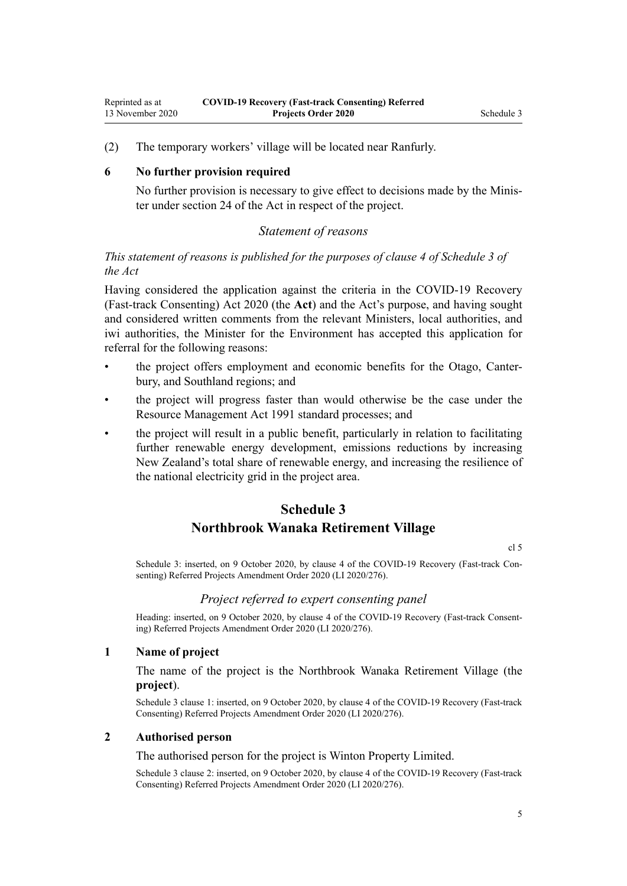<span id="page-4-0"></span>(2) The temporary workers' village will be located near Ranfurly.

#### **6 No further provision required**

No further provision is necessary to give effect to decisions made by the Minister under [section 24](http://legislation.govt.nz/pdflink.aspx?id=LMS352931) of the Act in respect of the project.

### *Statement of reasons*

## *This statement of reasons is published for the purposes of clause 4 of Schedule 3 of the Act*

Having considered the application against the criteria in the [COVID-19 Recovery](http://legislation.govt.nz/pdflink.aspx?id=LMS345537) [\(Fast-track Consenting\) Act 2020](http://legislation.govt.nz/pdflink.aspx?id=LMS345537) (the **Act**) and the Act's purpose, and having sought and considered written comments from the relevant Ministers, local authorities, and iwi authorities, the Minister for the Environment has accepted this application for referral for the following reasons:

- the project offers employment and economic benefits for the Otago, Canterbury, and Southland regions; and
- the project will progress faster than would otherwise be the case under the [Resource Management Act 1991](http://legislation.govt.nz/pdflink.aspx?id=DLM230264) standard processes; and
- the project will result in a public benefit, particularly in relation to facilitating further renewable energy development, emissions reductions by increasing New Zealand's total share of renewable energy, and increasing the resilience of the national electricity grid in the project area.

## **Schedule 3**

## **Northbrook Wanaka Retirement Village**

[cl 5](#page-1-0)

Schedule 3: inserted, on 9 October 2020, by [clause 4](http://legislation.govt.nz/pdflink.aspx?id=LMS413722) of the COVID-19 Recovery (Fast-track Consenting) Referred Projects Amendment Order 2020 (LI 2020/276).

#### *Project referred to expert consenting panel*

Heading: inserted, on 9 October 2020, by [clause 4](http://legislation.govt.nz/pdflink.aspx?id=LMS413722) of the COVID-19 Recovery (Fast-track Consenting) Referred Projects Amendment Order 2020 (LI 2020/276).

#### **1 Name of project**

The name of the project is the Northbrook Wanaka Retirement Village (the **project**).

Schedule 3 clause 1: inserted, on 9 October 2020, by [clause 4](http://legislation.govt.nz/pdflink.aspx?id=LMS413722) of the COVID-19 Recovery (Fast-track Consenting) Referred Projects Amendment Order 2020 (LI 2020/276).

#### **2 Authorised person**

The authorised person for the project is Winton Property Limited.

Schedule 3 clause 2: inserted, on 9 October 2020, by [clause 4](http://legislation.govt.nz/pdflink.aspx?id=LMS413722) of the COVID-19 Recovery (Fast-track Consenting) Referred Projects Amendment Order 2020 (LI 2020/276).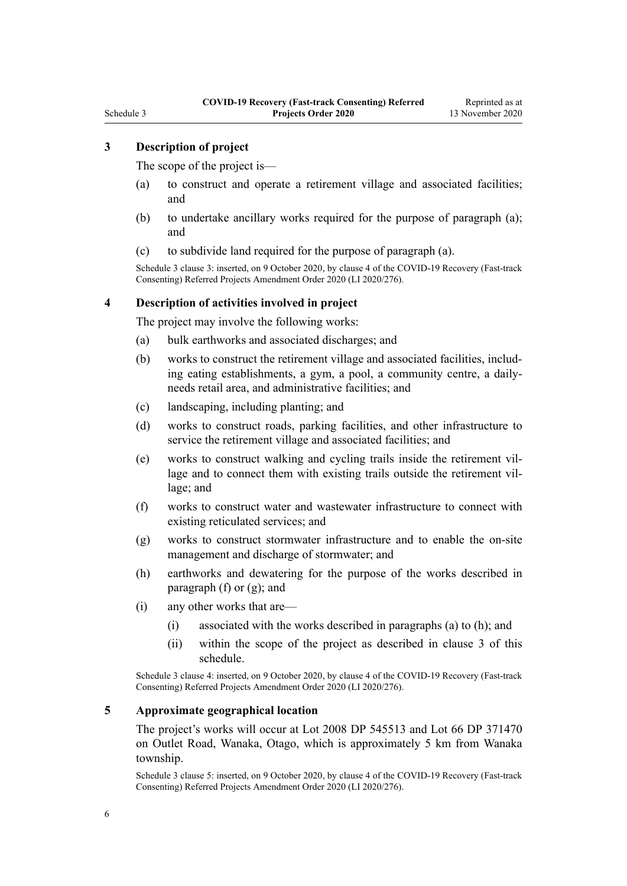## **3 Description of project**

The scope of the project is—

- (a) to construct and operate a retirement village and associated facilities; and
- (b) to undertake ancillary works required for the purpose of paragraph (a); and
- (c) to subdivide land required for the purpose of paragraph (a).

Schedule 3 clause 3: inserted, on 9 October 2020, by [clause 4](http://legislation.govt.nz/pdflink.aspx?id=LMS413722) of the COVID-19 Recovery (Fast-track Consenting) Referred Projects Amendment Order 2020 (LI 2020/276).

#### **4 Description of activities involved in project**

The project may involve the following works:

- (a) bulk earthworks and associated discharges; and
- (b) works to construct the retirement village and associated facilities, including eating establishments, a gym, a pool, a community centre, a dailyneeds retail area, and administrative facilities; and
- (c) landscaping, including planting; and
- (d) works to construct roads, parking facilities, and other infrastructure to service the retirement village and associated facilities; and
- (e) works to construct walking and cycling trails inside the retirement village and to connect them with existing trails outside the retirement village; and
- (f) works to construct water and wastewater infrastructure to connect with existing reticulated services; and
- (g) works to construct stormwater infrastructure and to enable the on-site management and discharge of stormwater; and
- (h) earthworks and dewatering for the purpose of the works described in paragraph  $(f)$  or  $(g)$ ; and
- (i) any other works that are—
	- (i) associated with the works described in paragraphs (a) to (h); and
	- (ii) within the scope of the project as described in clause 3 of this schedule.

Schedule 3 clause 4: inserted, on 9 October 2020, by [clause 4](http://legislation.govt.nz/pdflink.aspx?id=LMS413722) of the COVID-19 Recovery (Fast-track Consenting) Referred Projects Amendment Order 2020 (LI 2020/276).

## **5 Approximate geographical location**

The project's works will occur at Lot 2008 DP 545513 and Lot 66 DP 371470 on Outlet Road, Wanaka, Otago, which is approximately 5 km from Wanaka township.

Schedule 3 clause 5: inserted, on 9 October 2020, by [clause 4](http://legislation.govt.nz/pdflink.aspx?id=LMS413722) of the COVID-19 Recovery (Fast-track Consenting) Referred Projects Amendment Order 2020 (LI 2020/276).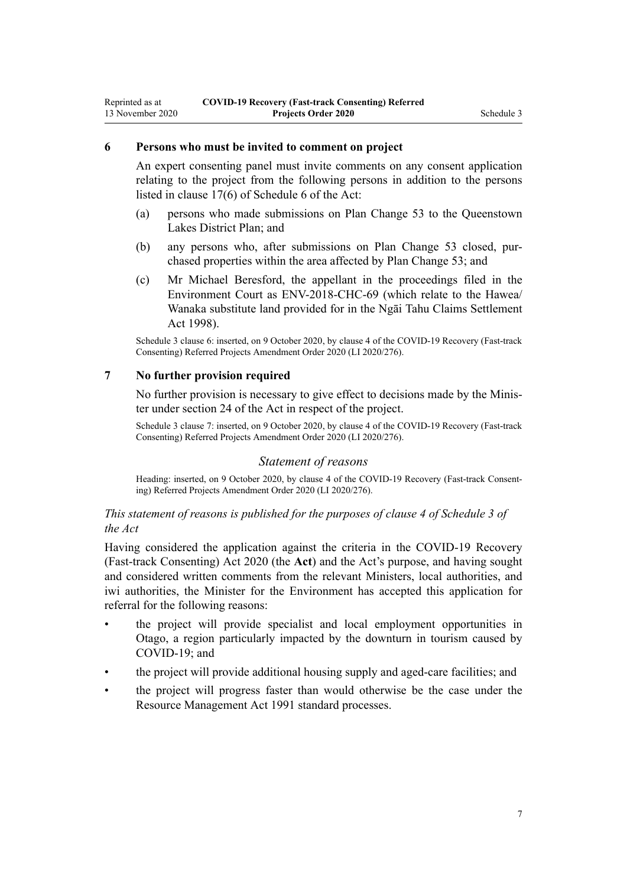#### **6 Persons who must be invited to comment on project**

An expert consenting panel must invite comments on any consent application relating to the project from the following persons in addition to the persons listed in [clause 17\(6\)](http://legislation.govt.nz/pdflink.aspx?id=LMS363378) of Schedule 6 of the Act:

- (a) persons who made submissions on Plan Change 53 to the Queenstown Lakes District Plan; and
- (b) any persons who, after submissions on Plan Change 53 closed, purchased properties within the area affected by Plan Change 53; and
- (c) Mr Michael Beresford, the appellant in the proceedings filed in the Environment Court as ENV-2018-CHC-69 (which relate to the Hawea/ Wanaka substitute land provided for in the [Ngāi Tahu Claims Settlement](http://legislation.govt.nz/pdflink.aspx?id=DLM429089) [Act 1998\)](http://legislation.govt.nz/pdflink.aspx?id=DLM429089).

Schedule 3 clause 6: inserted, on 9 October 2020, by [clause 4](http://legislation.govt.nz/pdflink.aspx?id=LMS413722) of the COVID-19 Recovery (Fast-track Consenting) Referred Projects Amendment Order 2020 (LI 2020/276).

#### **7 No further provision required**

No further provision is necessary to give effect to decisions made by the Minister under [section 24](http://legislation.govt.nz/pdflink.aspx?id=LMS352931) of the Act in respect of the project.

Schedule 3 clause 7: inserted, on 9 October 2020, by [clause 4](http://legislation.govt.nz/pdflink.aspx?id=LMS413722) of the COVID-19 Recovery (Fast-track Consenting) Referred Projects Amendment Order 2020 (LI 2020/276).

#### *Statement of reasons*

Heading: inserted, on 9 October 2020, by [clause 4](http://legislation.govt.nz/pdflink.aspx?id=LMS413722) of the COVID-19 Recovery (Fast-track Consenting) Referred Projects Amendment Order 2020 (LI 2020/276).

### *This statement of reasons is published for the purposes of clause 4 of Schedule 3 of the Act*

Having considered the application against the criteria in the [COVID-19 Recovery](http://legislation.govt.nz/pdflink.aspx?id=LMS345537) [\(Fast-track Consenting\) Act 2020](http://legislation.govt.nz/pdflink.aspx?id=LMS345537) (the **Act**) and the Act's purpose, and having sought and considered written comments from the relevant Ministers, local authorities, and iwi authorities, the Minister for the Environment has accepted this application for referral for the following reasons:

- the project will provide specialist and local employment opportunities in Otago, a region particularly impacted by the downturn in tourism caused by COVID-19; and
- the project will provide additional housing supply and aged-care facilities; and
- the project will progress faster than would otherwise be the case under the [Resource Management Act 1991](http://legislation.govt.nz/pdflink.aspx?id=DLM230264) standard processes.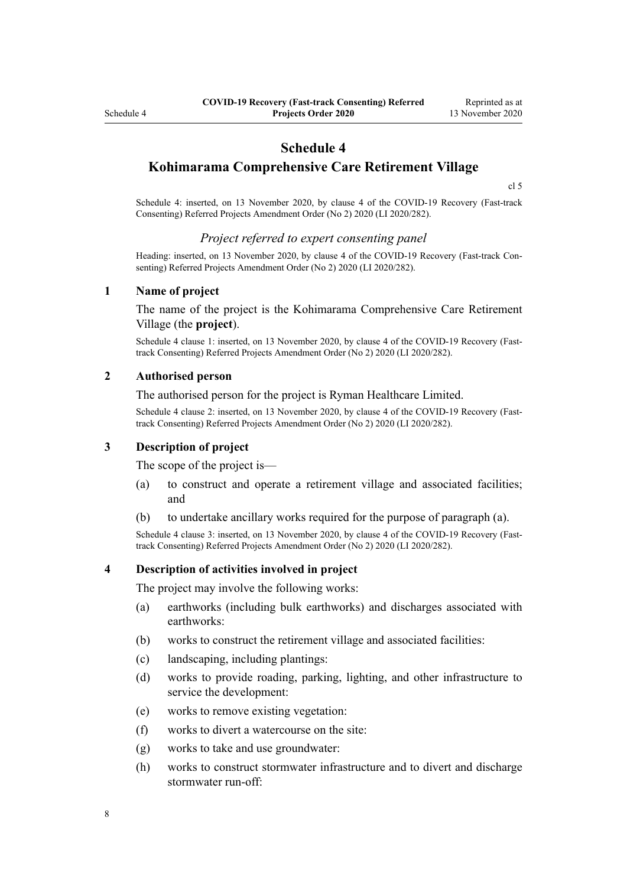## **Schedule 4**

<span id="page-7-0"></span>**Kohimarama Comprehensive Care Retirement Village**

[cl 5](#page-1-0)

Schedule 4: inserted, on 13 November 2020, by [clause 4](http://legislation.govt.nz/pdflink.aspx?id=LMS423883) of the COVID-19 Recovery (Fast-track Consenting) Referred Projects Amendment Order (No 2) 2020 (LI 2020/282).

#### *Project referred to expert consenting panel*

Heading: inserted, on 13 November 2020, by [clause 4](http://legislation.govt.nz/pdflink.aspx?id=LMS423883) of the COVID-19 Recovery (Fast-track Consenting) Referred Projects Amendment Order (No 2) 2020 (LI 2020/282).

#### **1 Name of project**

The name of the project is the Kohimarama Comprehensive Care Retirement Village (the **project**).

Schedule 4 clause 1: inserted, on 13 November 2020, by [clause 4](http://legislation.govt.nz/pdflink.aspx?id=LMS423883) of the COVID-19 Recovery (Fasttrack Consenting) Referred Projects Amendment Order (No 2) 2020 (LI 2020/282).

#### **2 Authorised person**

The authorised person for the project is Ryman Healthcare Limited.

Schedule 4 clause 2: inserted, on 13 November 2020, by [clause 4](http://legislation.govt.nz/pdflink.aspx?id=LMS423883) of the COVID-19 Recovery (Fasttrack Consenting) Referred Projects Amendment Order (No 2) 2020 (LI 2020/282).

### **3 Description of project**

The scope of the project is—

- (a) to construct and operate a retirement village and associated facilities; and
- (b) to undertake ancillary works required for the purpose of paragraph (a).

Schedule 4 clause 3: inserted, on 13 November 2020, by [clause 4](http://legislation.govt.nz/pdflink.aspx?id=LMS423883) of the COVID-19 Recovery (Fasttrack Consenting) Referred Projects Amendment Order (No 2) 2020 (LI 2020/282).

#### **4 Description of activities involved in project**

The project may involve the following works:

- (a) earthworks (including bulk earthworks) and discharges associated with earthworks:
- (b) works to construct the retirement village and associated facilities:
- (c) landscaping, including plantings:
- (d) works to provide roading, parking, lighting, and other infrastructure to service the development:
- (e) works to remove existing vegetation:
- (f) works to divert a watercourse on the site:
- (g) works to take and use groundwater:
- (h) works to construct stormwater infrastructure and to divert and discharge stormwater run-off: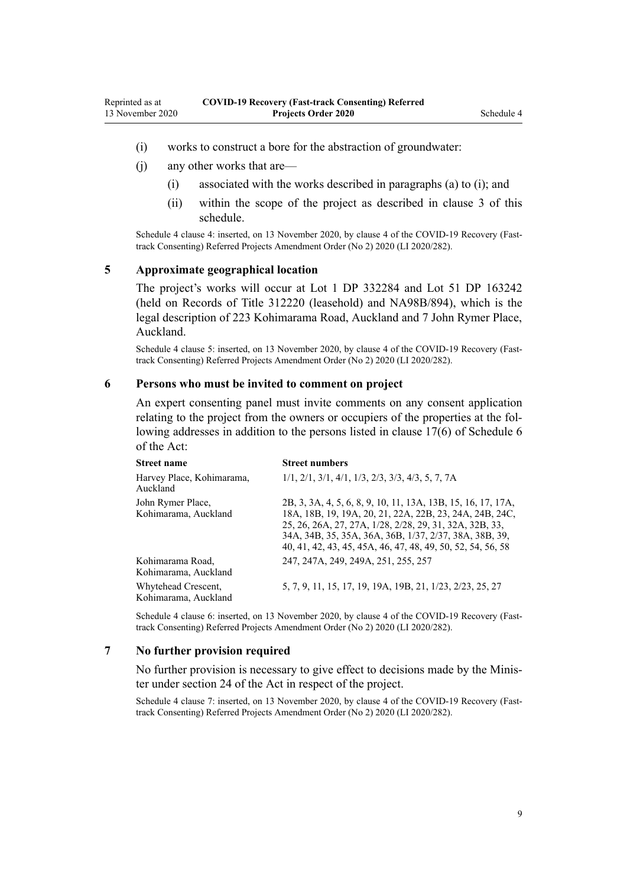- (i) works to construct a bore for the abstraction of groundwater:
- (j) any other works that are—
	- (i) associated with the works described in paragraphs (a) to (i); and
	- (ii) within the scope of the project as described in [clause 3](#page-7-0) of this schedule.

Schedule 4 clause 4: inserted, on 13 November 2020, by [clause 4](http://legislation.govt.nz/pdflink.aspx?id=LMS423883) of the COVID-19 Recovery (Fasttrack Consenting) Referred Projects Amendment Order (No 2) 2020 (LI 2020/282).

#### **5 Approximate geographical location**

The project's works will occur at Lot 1 DP 332284 and Lot 51 DP 163242 (held on Records of Title 312220 (leasehold) and NA98B/894), which is the legal description of 223 Kohimarama Road, Auckland and 7 John Rymer Place, Auckland.

Schedule 4 clause 5: inserted, on 13 November 2020, by [clause 4](http://legislation.govt.nz/pdflink.aspx?id=LMS423883) of the COVID-19 Recovery (Fasttrack Consenting) Referred Projects Amendment Order (No 2) 2020 (LI 2020/282).

#### **6 Persons who must be invited to comment on project**

An expert consenting panel must invite comments on any consent application relating to the project from the owners or occupiers of the properties at the following addresses in addition to the persons listed in [clause 17\(6\)](http://legislation.govt.nz/pdflink.aspx?id=LMS363378) of Schedule 6 of the Act:

| <b>Street name</b>                          | <b>Street numbers</b>                                                                                                                                                                                                                                                                                       |
|---------------------------------------------|-------------------------------------------------------------------------------------------------------------------------------------------------------------------------------------------------------------------------------------------------------------------------------------------------------------|
| Harvey Place, Kohimarama,<br>Auckland       | $1/1$ , $2/1$ , $3/1$ , $4/1$ , $1/3$ , $2/3$ , $3/3$ , $4/3$ , 5, 7, 7A                                                                                                                                                                                                                                    |
| John Rymer Place,<br>Kohimarama, Auckland   | 2B, 3, 3A, 4, 5, 6, 8, 9, 10, 11, 13A, 13B, 15, 16, 17, 17A,<br>18A, 18B, 19, 19A, 20, 21, 22A, 22B, 23, 24A, 24B, 24C,<br>25, 26, 26A, 27, 27A, 1/28, 2/28, 29, 31, 32A, 32B, 33,<br>34A, 34B, 35, 35A, 36A, 36B, 1/37, 2/37, 38A, 38B, 39,<br>40, 41, 42, 43, 45, 45A, 46, 47, 48, 49, 50, 52, 54, 56, 58 |
| Kohimarama Road,<br>Kohimarama, Auckland    | 247, 247A, 249, 249A, 251, 255, 257                                                                                                                                                                                                                                                                         |
| Whytehead Crescent,<br>Kohimarama, Auckland | 5, 7, 9, 11, 15, 17, 19, 19A, 19B, 21, 1/23, 2/23, 25, 27                                                                                                                                                                                                                                                   |

Schedule 4 clause 6: inserted, on 13 November 2020, by [clause 4](http://legislation.govt.nz/pdflink.aspx?id=LMS423883) of the COVID-19 Recovery (Fasttrack Consenting) Referred Projects Amendment Order (No 2) 2020 (LI 2020/282).

#### **7 No further provision required**

No further provision is necessary to give effect to decisions made by the Minister under [section 24](http://legislation.govt.nz/pdflink.aspx?id=LMS352931) of the Act in respect of the project.

Schedule 4 clause 7: inserted, on 13 November 2020, by [clause 4](http://legislation.govt.nz/pdflink.aspx?id=LMS423883) of the COVID-19 Recovery (Fasttrack Consenting) Referred Projects Amendment Order (No 2) 2020 (LI 2020/282).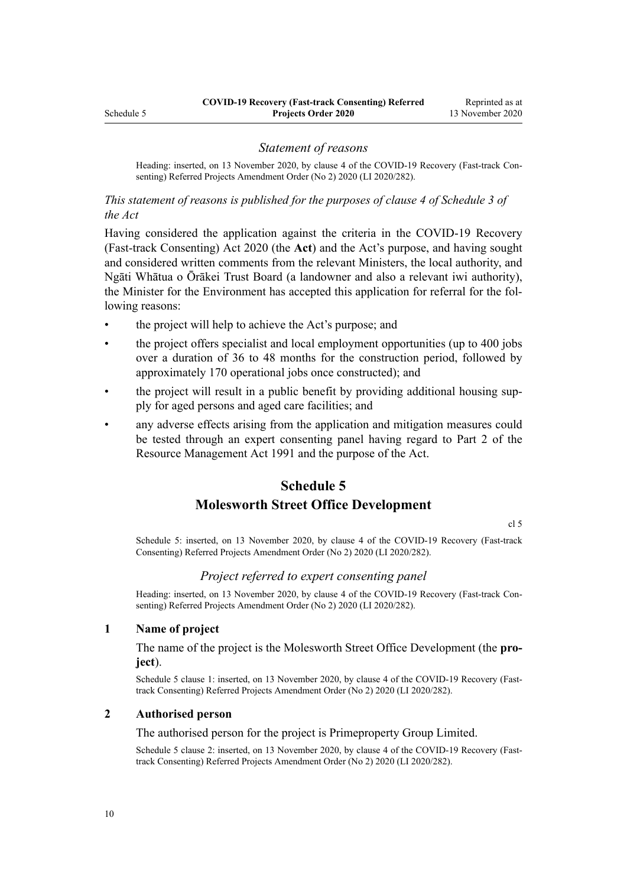#### *Statement of reasons*

<span id="page-9-0"></span>Heading: inserted, on 13 November 2020, by [clause 4](http://legislation.govt.nz/pdflink.aspx?id=LMS423883) of the COVID-19 Recovery (Fast-track Consenting) Referred Projects Amendment Order (No 2) 2020 (LI 2020/282).

*This statement of reasons is published for the purposes of clause 4 of Schedule 3 of the Act*

Having considered the application against the criteria in the [COVID-19 Recovery](http://legislation.govt.nz/pdflink.aspx?id=LMS345537) [\(Fast-track Consenting\) Act 2020](http://legislation.govt.nz/pdflink.aspx?id=LMS345537) (the **Act**) and the Act's purpose, and having sought and considered written comments from the relevant Ministers, the local authority, and Ngāti Whātua o Ōrākei Trust Board (a landowner and also a relevant iwi authority), the Minister for the Environment has accepted this application for referral for the following reasons:

- the project will help to achieve the Act's purpose; and
- the project offers specialist and local employment opportunities (up to 400 jobs over a duration of 36 to 48 months for the construction period, followed by approximately 170 operational jobs once constructed); and
- the project will result in a public benefit by providing additional housing supply for aged persons and aged care facilities; and
- any adverse effects arising from the application and mitigation measures could be tested through an expert consenting panel having regard to [Part 2](http://legislation.govt.nz/pdflink.aspx?id=DLM231904) of the Resource Management Act 1991 and the purpose of the Act.

## **Schedule 5**

## **Molesworth Street Office Development**

[cl 5](#page-1-0)

Schedule 5: inserted, on 13 November 2020, by [clause 4](http://legislation.govt.nz/pdflink.aspx?id=LMS423883) of the COVID-19 Recovery (Fast-track Consenting) Referred Projects Amendment Order (No 2) 2020 (LI 2020/282).

#### *Project referred to expert consenting panel*

Heading: inserted, on 13 November 2020, by [clause 4](http://legislation.govt.nz/pdflink.aspx?id=LMS423883) of the COVID-19 Recovery (Fast-track Consenting) Referred Projects Amendment Order (No 2) 2020 (LI 2020/282).

#### **1 Name of project**

The name of the project is the Molesworth Street Office Development (the **project**).

Schedule 5 clause 1: inserted, on 13 November 2020, by [clause 4](http://legislation.govt.nz/pdflink.aspx?id=LMS423883) of the COVID-19 Recovery (Fasttrack Consenting) Referred Projects Amendment Order (No 2) 2020 (LI 2020/282).

#### **2 Authorised person**

#### The authorised person for the project is Primeproperty Group Limited.

Schedule 5 clause 2: inserted, on 13 November 2020, by [clause 4](http://legislation.govt.nz/pdflink.aspx?id=LMS423883) of the COVID-19 Recovery (Fasttrack Consenting) Referred Projects Amendment Order (No 2) 2020 (LI 2020/282).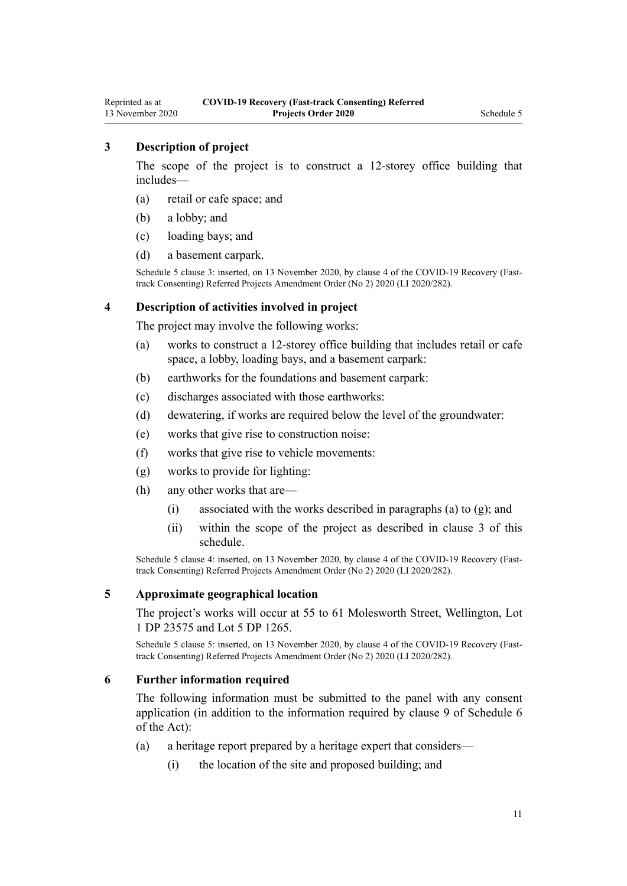## **3 Description of project**

The scope of the project is to construct a 12-storey office building that includes—

- (a) retail or cafe space; and
- (b) a lobby; and
- (c) loading bays; and
- (d) a basement carpark.

Schedule 5 clause 3: inserted, on 13 November 2020, by [clause 4](http://legislation.govt.nz/pdflink.aspx?id=LMS423883) of the COVID-19 Recovery (Fasttrack Consenting) Referred Projects Amendment Order (No 2) 2020 (LI 2020/282).

#### **4 Description of activities involved in project**

The project may involve the following works:

- (a) works to construct a 12-storey office building that includes retail or cafe space, a lobby, loading bays, and a basement carpark:
- (b) earthworks for the foundations and basement carpark:
- (c) discharges associated with those earthworks:
- (d) dewatering, if works are required below the level of the groundwater:
- (e) works that give rise to construction noise:
- (f) works that give rise to vehicle movements:
- (g) works to provide for lighting:
- (h) any other works that are—
	- (i) associated with the works described in paragraphs (a) to  $(g)$ ; and
	- (ii) within the scope of the project as described in clause 3 of this schedule.

Schedule 5 clause 4: inserted, on 13 November 2020, by [clause 4](http://legislation.govt.nz/pdflink.aspx?id=LMS423883) of the COVID-19 Recovery (Fasttrack Consenting) Referred Projects Amendment Order (No 2) 2020 (LI 2020/282).

#### **5 Approximate geographical location**

The project's works will occur at 55 to 61 Molesworth Street, Wellington, Lot 1 DP 23575 and Lot 5 DP 1265.

Schedule 5 clause 5: inserted, on 13 November 2020, by [clause 4](http://legislation.govt.nz/pdflink.aspx?id=LMS423883) of the COVID-19 Recovery (Fasttrack Consenting) Referred Projects Amendment Order (No 2) 2020 (LI 2020/282).

#### **6 Further information required**

The following information must be submitted to the panel with any consent application (in addition to the information required by [clause 9](http://legislation.govt.nz/pdflink.aspx?id=LMS363366) of Schedule 6 of the Act):

- (a) a heritage report prepared by a heritage expert that considers—
	- (i) the location of the site and proposed building; and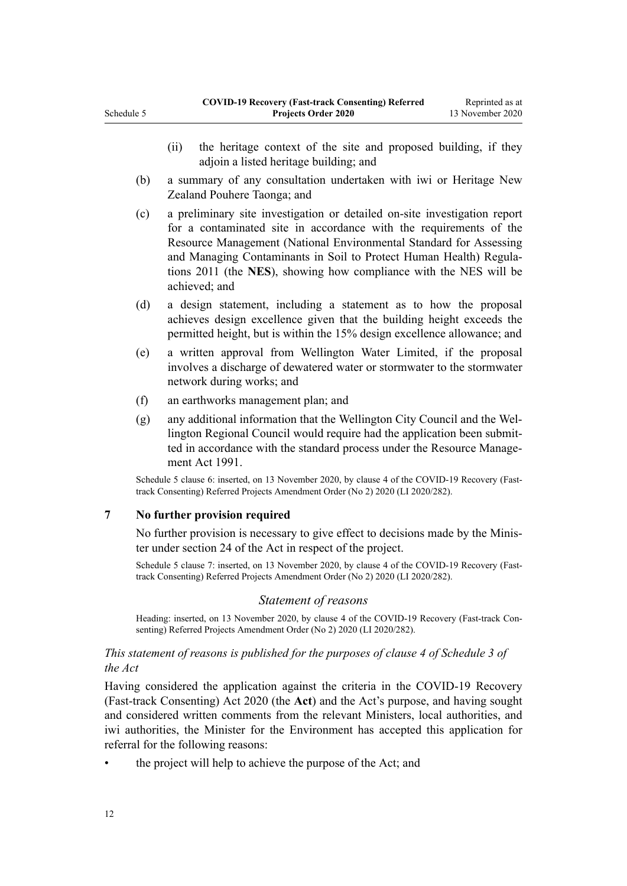- (b) a summary of any consultation undertaken with iwi or Heritage New Zealand Pouhere Taonga; and
- (c) a preliminary site investigation or detailed on-site investigation report for a contaminated site in accordance with the requirements of the [Resource Management \(National Environmental Standard for Assessing](http://legislation.govt.nz/pdflink.aspx?id=DLM4052227) [and Managing Contaminants in Soil to Protect Human Health\) Regula](http://legislation.govt.nz/pdflink.aspx?id=DLM4052227)[tions 2011](http://legislation.govt.nz/pdflink.aspx?id=DLM4052227) (the **NES**), showing how compliance with the NES will be achieved; and
- (d) a design statement, including a statement as to how the proposal achieves design excellence given that the building height exceeds the permitted height, but is within the 15% design excellence allowance; and
- (e) a written approval from Wellington Water Limited, if the proposal involves a discharge of dewatered water or stormwater to the stormwater network during works; and
- (f) an earthworks management plan; and
- (g) any additional information that the Wellington City Council and the Wellington Regional Council would require had the application been submitted in accordance with the standard process under the [Resource Manage](http://legislation.govt.nz/pdflink.aspx?id=DLM230264)[ment Act 1991.](http://legislation.govt.nz/pdflink.aspx?id=DLM230264)

Schedule 5 clause 6: inserted, on 13 November 2020, by [clause 4](http://legislation.govt.nz/pdflink.aspx?id=LMS423883) of the COVID-19 Recovery (Fasttrack Consenting) Referred Projects Amendment Order (No 2) 2020 (LI 2020/282).

## **7 No further provision required**

Schedule 5

No further provision is necessary to give effect to decisions made by the Minister under [section 24](http://legislation.govt.nz/pdflink.aspx?id=LMS352931) of the Act in respect of the project.

Schedule 5 clause 7: inserted, on 13 November 2020, by [clause 4](http://legislation.govt.nz/pdflink.aspx?id=LMS423883) of the COVID-19 Recovery (Fasttrack Consenting) Referred Projects Amendment Order (No 2) 2020 (LI 2020/282).

## *Statement of reasons*

Heading: inserted, on 13 November 2020, by [clause 4](http://legislation.govt.nz/pdflink.aspx?id=LMS423883) of the COVID-19 Recovery (Fast-track Consenting) Referred Projects Amendment Order (No 2) 2020 (LI 2020/282).

### *This statement of reasons is published for the purposes of clause 4 of Schedule 3 of the Act*

Having considered the application against the criteria in the [COVID-19 Recovery](http://legislation.govt.nz/pdflink.aspx?id=LMS345537) [\(Fast-track Consenting\) Act 2020](http://legislation.govt.nz/pdflink.aspx?id=LMS345537) (the **Act**) and the Act's purpose, and having sought and considered written comments from the relevant Ministers, local authorities, and iwi authorities, the Minister for the Environment has accepted this application for referral for the following reasons:

• the project will help to achieve the purpose of the Act; and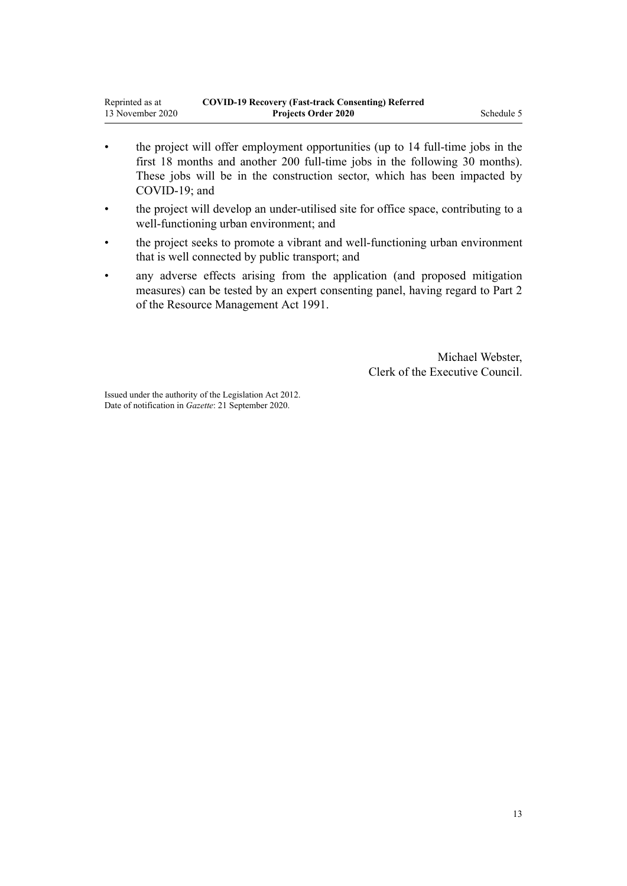- the project will offer employment opportunities (up to 14 full-time jobs in the first 18 months and another 200 full-time jobs in the following 30 months). These jobs will be in the construction sector, which has been impacted by COVID-19; and
- the project will develop an under-utilised site for office space, contributing to a well-functioning urban environment; and
- the project seeks to promote a vibrant and well-functioning urban environment that is well connected by public transport; and
- any adverse effects arising from the application (and proposed mitigation measures) can be tested by an expert consenting panel, having regard to [Part 2](http://legislation.govt.nz/pdflink.aspx?id=DLM231904) of the Resource Management Act 1991.

Michael Webster, Clerk of the Executive Council.

Issued under the authority of the [Legislation Act 2012](http://legislation.govt.nz/pdflink.aspx?id=DLM2997643). Date of notification in *Gazette*: 21 September 2020.